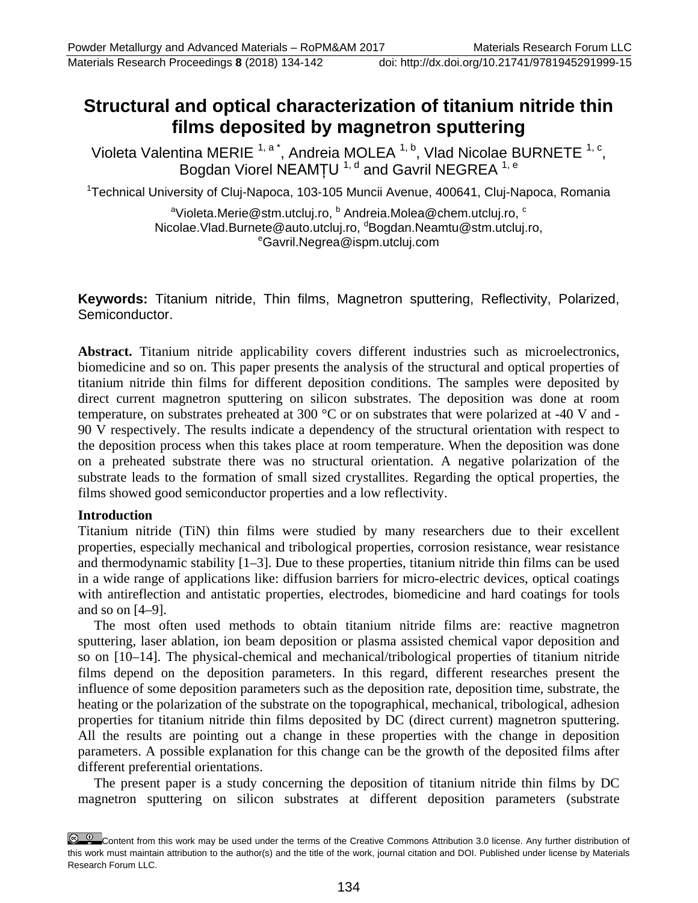# **Structural and optical characterization of titanium nitride thin films deposited by magnetron sputtering**

Violeta Valentina MERIE  $1, a^*$ , Andreia MOLEA  $1, b$ , Vlad Nicolae BURNETE  $1, c$ , Bogdan Viorel NEAMȚU  $^{1, d}$  and Gavril NEGREA  $^{1, e}$ 

<sup>1</sup>Technical University of Cluj-Napoca, 103-105 Muncii Avenue, 400641, Cluj-Napoca, Romania

<sup>a</sup>Violeta.Merie@stm.utcluj.ro, <sup>b</sup> Andreia.Molea@chem.utcluj.ro, <sup>c</sup> Nicolae.Vlad.Burnete@auto.utcluj.ro, dBogdan.Neamtu@stm.utcluj.ro,<br>Cavril Negrea@ispm.utcluj.com Gavril.Negrea@ispm.utcluj.com

**Keywords:** Titanium nitride, Thin films, Magnetron sputtering, Reflectivity, Polarized, Semiconductor.

**Abstract.** Titanium nitride applicability covers different industries such as microelectronics, biomedicine and so on. This paper presents the analysis of the structural and optical properties of titanium nitride thin films for different deposition conditions. The samples were deposited by direct current magnetron sputtering on silicon substrates. The deposition was done at room temperature, on substrates preheated at 300 °C or on substrates that were polarized at -40 V and - 90 V respectively. The results indicate a dependency of the structural orientation with respect to the deposition process when this takes place at room temperature. When the deposition was done on a preheated substrate there was no structural orientation. A negative polarization of the substrate leads to the formation of small sized crystallites. Regarding the optical properties, the films showed good semiconductor properties and a low reflectivity.

### **Introduction**

Titanium nitride (TiN) thin films were studied by many researchers due to their excellent properties, especially mechanical and tribological properties, corrosion resistance, wear resistance and thermodynamic stability [1–3]. Due to these properties, titanium nitride thin films can be used in a wide range of applications like: diffusion barriers for micro-electric devices, optical coatings with antireflection and antistatic properties, electrodes, biomedicine and hard coatings for tools and so on [4–9].

The most often used methods to obtain titanium nitride films are: reactive magnetron sputtering, laser ablation, ion beam deposition or plasma assisted chemical vapor deposition and so on [10–14]. The physical-chemical and mechanical/tribological properties of titanium nitride films depend on the deposition parameters. In this regard, different researches present the influence of some deposition parameters such as the deposition rate, deposition time, substrate, the heating or the polarization of the substrate on the topographical, mechanical, tribological, adhesion properties for titanium nitride thin films deposited by DC (direct current) magnetron sputtering. All the results are pointing out a change in these properties with the change in deposition parameters. A possible explanation for this change can be the growth of the deposited films after different preferential orientations.

The present paper is a study concerning the deposition of titanium nitride thin films by DC magnetron sputtering on silicon substrates at different deposition parameters (substrate

Content from this work may be used under the terms of the Creative Commons Attribution 3.0 license. Any further distribution of this work must maintain attribution to the author(s) and the title of the work, journal citation and DOI. Published under license by Materials Research Forum LLC.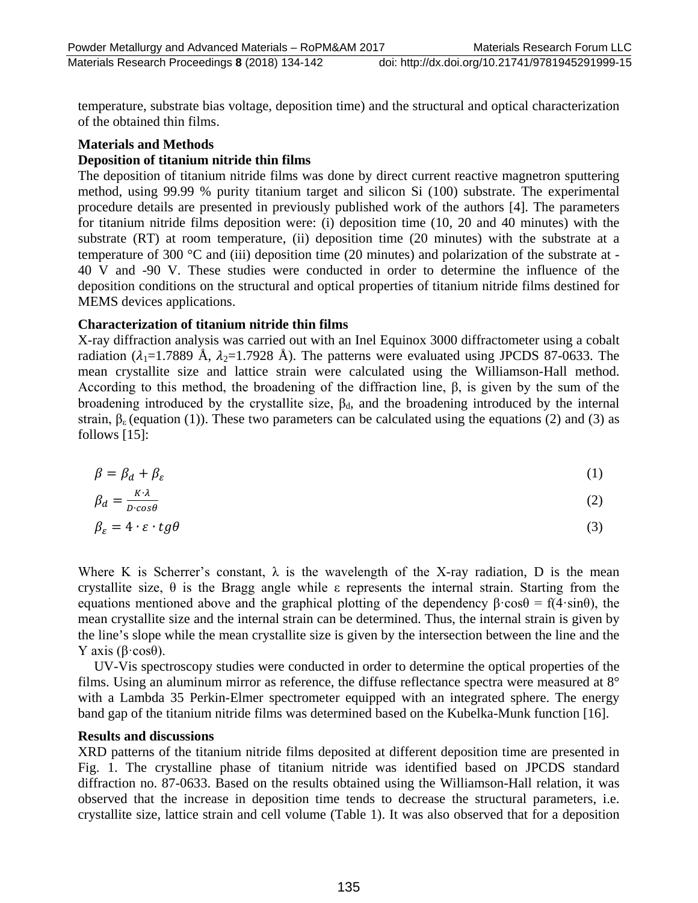temperature, substrate bias voltage, deposition time) and the structural and optical characterization of the obtained thin films.

### **Materials and Methods**

# **Deposition of titanium nitride thin films**

The deposition of titanium nitride films was done by direct current reactive magnetron sputtering method, using 99.99 % purity titanium target and silicon Si (100) substrate. The experimental procedure details are presented in previously published work of the authors [4]. The parameters for titanium nitride films deposition were: (i) deposition time (10, 20 and 40 minutes) with the substrate (RT) at room temperature, (ii) deposition time (20 minutes) with the substrate at a temperature of 300 °C and (iii) deposition time (20 minutes) and polarization of the substrate at - 40 V and -90 V. These studies were conducted in order to determine the influence of the deposition conditions on the structural and optical properties of titanium nitride films destined for MEMS devices applications.

### **Characterization of titanium nitride thin films**

X-ray diffraction analysis was carried out with an Inel Equinox 3000 diffractometer using a cobalt radiation ( $\lambda_1$ =1.7889 Å,  $\lambda_2$ =1.7928 Å). The patterns were evaluated using JPCDS 87-0633. The mean crystallite size and lattice strain were calculated using the Williamson-Hall method. According to this method, the broadening of the diffraction line, β, is given by the sum of the broadening introduced by the crystallite size,  $\beta_d$ , and the broadening introduced by the internal strain,  $\beta_{\epsilon}$  (equation (1)). These two parameters can be calculated using the equations (2) and (3) as follows [15]:

$$
\beta = \beta_d + \beta_{\varepsilon} \tag{1}
$$

$$
\beta_d = \frac{K \lambda}{D \cdot \cos \theta} \tag{2}
$$

$$
\beta_{\varepsilon} = 4 \cdot \varepsilon \cdot tg\theta \tag{3}
$$

Where K is Scherrer's constant,  $\lambda$  is the wavelength of the X-ray radiation, D is the mean crystallite size, θ is the Bragg angle while ε represents the internal strain. Starting from the equations mentioned above and the graphical plotting of the dependency  $\beta$ ·cos $\theta = f(4 \cdot \sin \theta)$ , the mean crystallite size and the internal strain can be determined. Thus, the internal strain is given by the line's slope while the mean crystallite size is given by the intersection between the line and the Y axis ( $β \cdot cosθ$ ).

UV-Vis spectroscopy studies were conducted in order to determine the optical properties of the films. Using an aluminum mirror as reference, the diffuse reflectance spectra were measured at 8° with a Lambda 35 Perkin-Elmer spectrometer equipped with an integrated sphere. The energy band gap of the titanium nitride films was determined based on the Kubelka-Munk function [16].

### **Results and discussions**

XRD patterns of the titanium nitride films deposited at different deposition time are presented in Fig. 1. The crystalline phase of titanium nitride was identified based on JPCDS standard diffraction no. 87-0633. Based on the results obtained using the Williamson-Hall relation, it was observed that the increase in deposition time tends to decrease the structural parameters, i.e. crystallite size, lattice strain and cell volume (Table 1). It was also observed that for a deposition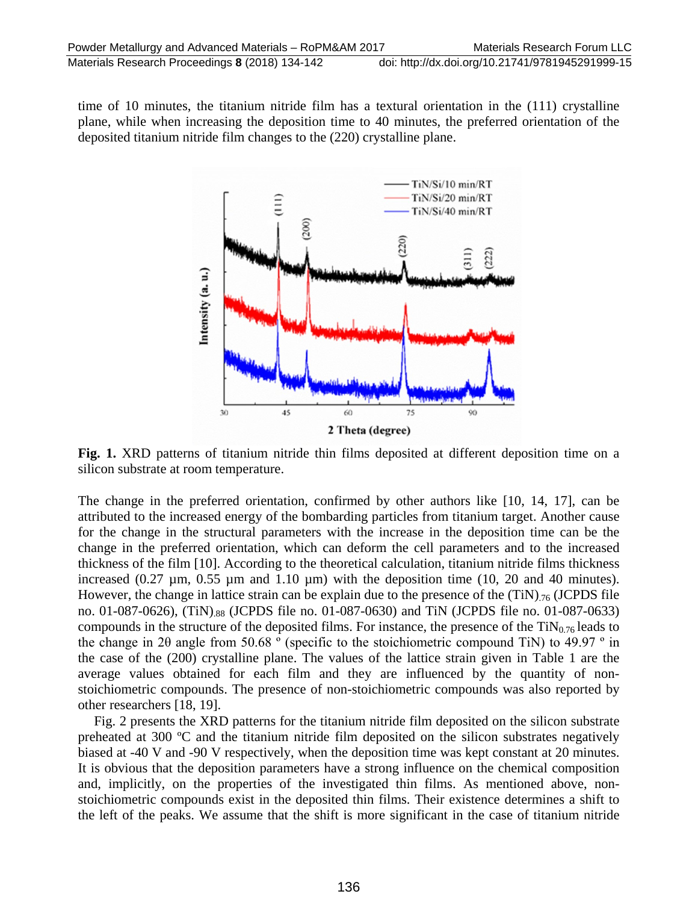time of 10 minutes, the titanium nitride film has a textural orientation in the (111) crystalline plane, while when increasing the deposition time to 40 minutes, the preferred orientation of the deposited titanium nitride film changes to the (220) crystalline plane.



**Fig. 1.** XRD patterns of titanium nitride thin films deposited at different deposition time on a silicon substrate at room temperature.

The change in the preferred orientation, confirmed by other authors like [10, 14, 17], can be attributed to the increased energy of the bombarding particles from titanium target. Another cause for the change in the structural parameters with the increase in the deposition time can be the change in the preferred orientation, which can deform the cell parameters and to the increased thickness of the film [10]. According to the theoretical calculation, titanium nitride films thickness increased  $(0.27 \mu m, 0.55 \mu m$  and  $1.10 \mu m$ ) with the deposition time  $(10, 20 \mu m)$  and 40 minutes). However, the change in lattice strain can be explain due to the presence of the  $(TiN)_{.76}$  (JCPDS file no. 01-087-0626), (TiN).88 (JCPDS file no. 01-087-0630) and TiN (JCPDS file no. 01-087-0633) compounds in the structure of the deposited films. For instance, the presence of the  $TiN<sub>0.76</sub>$  leads to the change in 20 angle from 50.68  $\degree$  (specific to the stoichiometric compound TiN) to 49.97  $\degree$  in the case of the (200) crystalline plane. The values of the lattice strain given in Table 1 are the average values obtained for each film and they are influenced by the quantity of nonstoichiometric compounds. The presence of non-stoichiometric compounds was also reported by other researchers [18, 19].

Fig. 2 presents the XRD patterns for the titanium nitride film deposited on the silicon substrate preheated at 300 ºC and the titanium nitride film deposited on the silicon substrates negatively biased at -40 V and -90 V respectively, when the deposition time was kept constant at 20 minutes. It is obvious that the deposition parameters have a strong influence on the chemical composition and, implicitly, on the properties of the investigated thin films. As mentioned above, nonstoichiometric compounds exist in the deposited thin films. Their existence determines a shift to the left of the peaks. We assume that the shift is more significant in the case of titanium nitride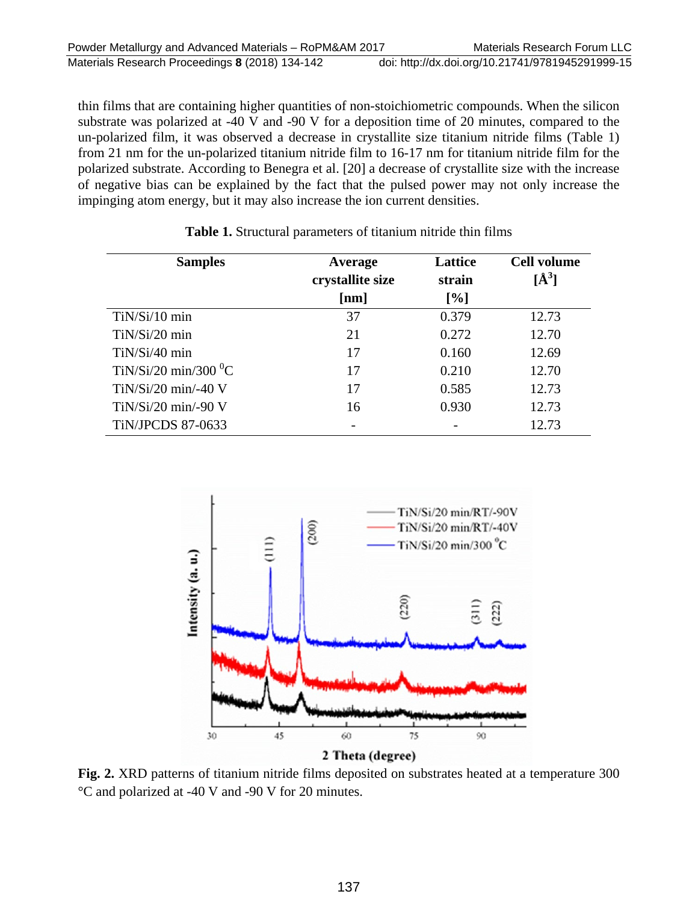thin films that are containing higher quantities of non-stoichiometric compounds. When the silicon substrate was polarized at -40 V and -90 V for a deposition time of 20 minutes, compared to the un-polarized film, it was observed a decrease in crystallite size titanium nitride films (Table 1) from 21 nm for the un-polarized titanium nitride film to 16-17 nm for titanium nitride film for the polarized substrate. According to Benegra et al. [20] a decrease of crystallite size with the increase of negative bias can be explained by the fact that the pulsed power may not only increase the impinging atom energy, but it may also increase the ion current densities.

| <b>Samples</b>                     | Average          | Lattice | <b>Cell volume</b> |
|------------------------------------|------------------|---------|--------------------|
|                                    | crystallite size | strain  | $\mathbf{A}^3$     |
|                                    | [nm]             | $[\%]$  |                    |
| TiN/Si/10 min                      | 37               | 0.379   | 12.73              |
| $TiN/Si/20$ min                    | 21               | 0.272   | 12.70              |
| $TiN/Si/40$ min                    | 17               | 0.160   | 12.69              |
| TiN/Si/20 min/300 $\mathrm{^{0}C}$ | 17               | 0.210   | 12.70              |
| $TiN/Si/20$ min/-40 V              | 17               | 0.585   | 12.73              |
| $TiN/Si/20$ min/-90 V              | 16               | 0.930   | 12.73              |
| <b>TiN/JPCDS 87-0633</b>           |                  |         | 12.73              |

**Table 1.** Structural parameters of titanium nitride thin films



**Fig. 2.** XRD patterns of titanium nitride films deposited on substrates heated at a temperature 300 °C and polarized at -40 V and -90 V for 20 minutes.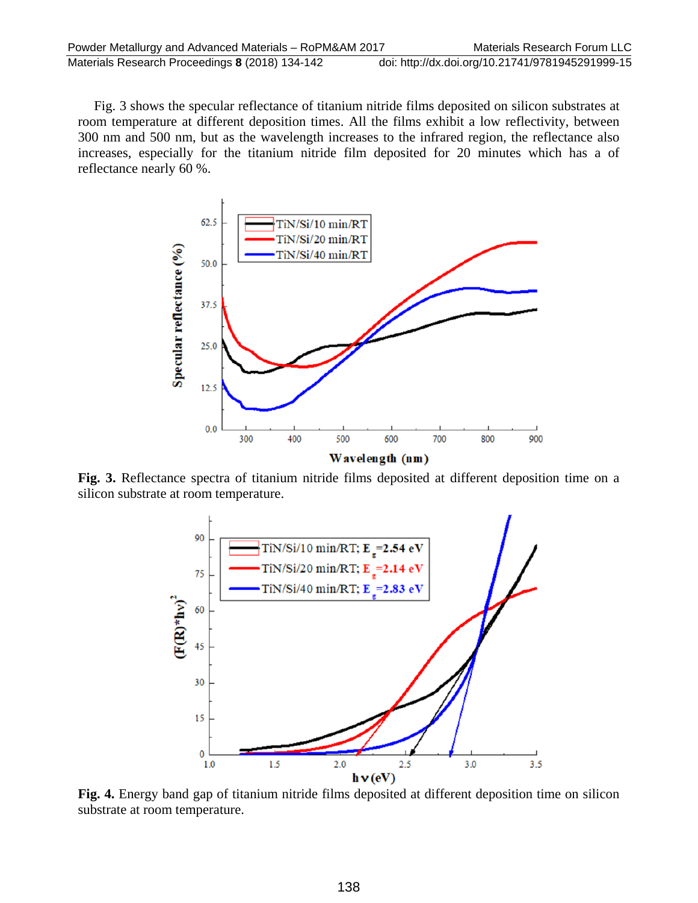Fig. 3 shows the specular reflectance of titanium nitride films deposited on silicon substrates at room temperature at different deposition times. All the films exhibit a low reflectivity, between 300 nm and 500 nm, but as the wavelength increases to the infrared region, the reflectance also increases, especially for the titanium nitride film deposited for 20 minutes which has a of reflectance nearly 60 %.



**Fig. 3.** Reflectance spectra of titanium nitride films deposited at different deposition time on a silicon substrate at room temperature.



**Fig. 4.** Energy band gap of titanium nitride films deposited at different deposition time on silicon substrate at room temperature.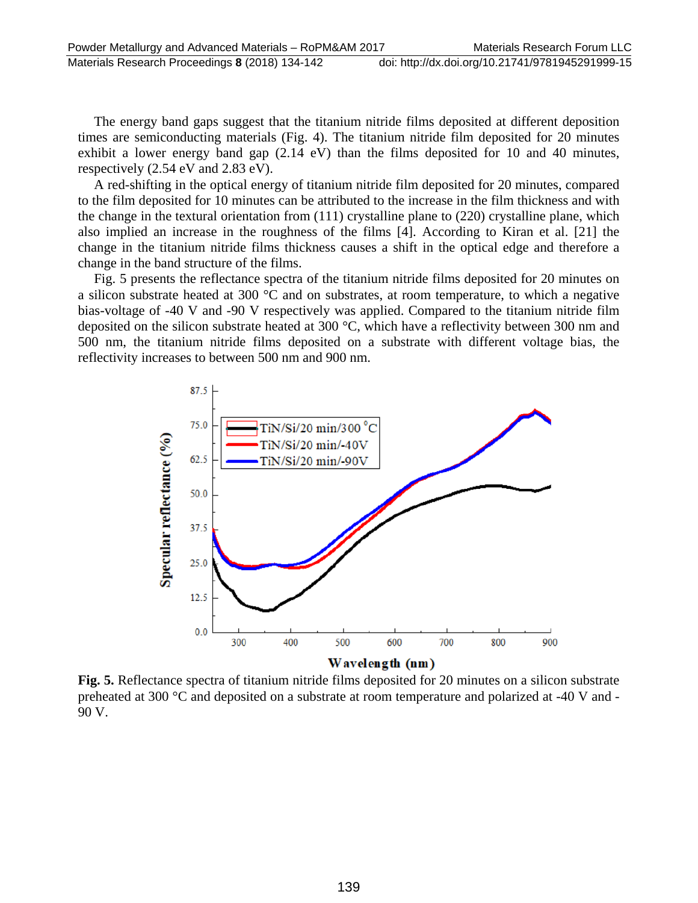Materials Research Proceedings **8** (2018) 134-142 doi: http://dx.doi.org/10.21741/9781945291999-15

The energy band gaps suggest that the titanium nitride films deposited at different deposition times are semiconducting materials (Fig. 4). The titanium nitride film deposited for 20 minutes exhibit a lower energy band gap (2.14 eV) than the films deposited for 10 and 40 minutes, respectively (2.54 eV and 2.83 eV).

A red-shifting in the optical energy of titanium nitride film deposited for 20 minutes, compared to the film deposited for 10 minutes can be attributed to the increase in the film thickness and with the change in the textural orientation from (111) crystalline plane to (220) crystalline plane, which also implied an increase in the roughness of the films [4]. According to Kiran et al. [21] the change in the titanium nitride films thickness causes a shift in the optical edge and therefore a change in the band structure of the films.

Fig. 5 presents the reflectance spectra of the titanium nitride films deposited for 20 minutes on a silicon substrate heated at 300 °C and on substrates, at room temperature, to which a negative bias-voltage of -40 V and -90 V respectively was applied. Compared to the titanium nitride film deposited on the silicon substrate heated at 300 °C, which have a reflectivity between 300 nm and 500 nm, the titanium nitride films deposited on a substrate with different voltage bias, the reflectivity increases to between 500 nm and 900 nm.



**Fig. 5.** Reflectance spectra of titanium nitride films deposited for 20 minutes on a silicon substrate preheated at 300 °C and deposited on a substrate at room temperature and polarized at -40 V and - 90 V.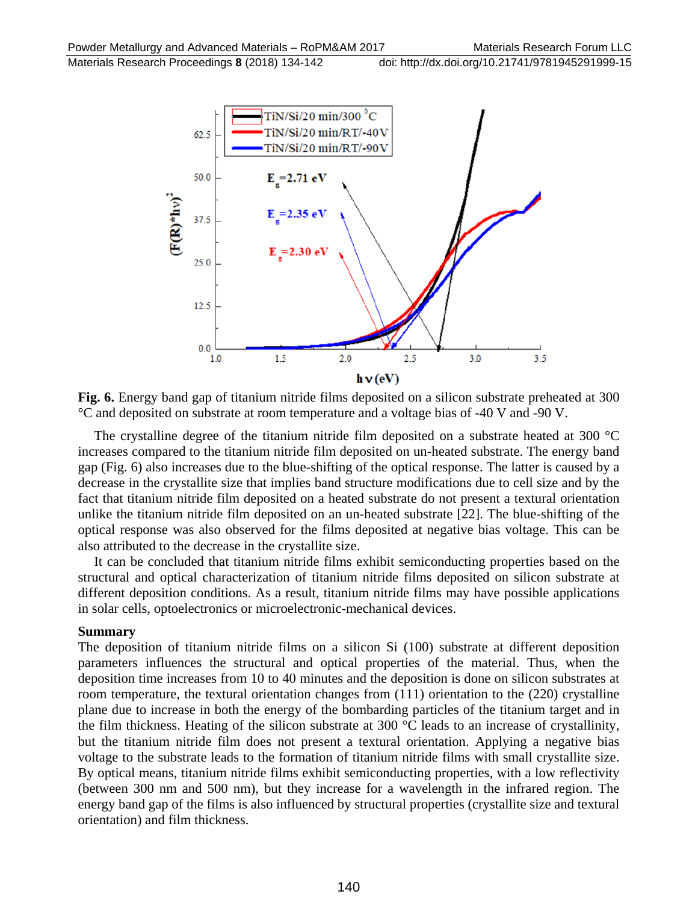

**Fig. 6.** Energy band gap of titanium nitride films deposited on a silicon substrate preheated at 300 °C and deposited on substrate at room temperature and a voltage bias of -40 V and -90 V.

The crystalline degree of the titanium nitride film deposited on a substrate heated at 300 °C increases compared to the titanium nitride film deposited on un-heated substrate. The energy band gap (Fig. 6) also increases due to the blue-shifting of the optical response. The latter is caused by a decrease in the crystallite size that implies band structure modifications due to cell size and by the fact that titanium nitride film deposited on a heated substrate do not present a textural orientation unlike the titanium nitride film deposited on an un-heated substrate [22]. The blue-shifting of the optical response was also observed for the films deposited at negative bias voltage. This can be also attributed to the decrease in the crystallite size.

It can be concluded that titanium nitride films exhibit semiconducting properties based on the structural and optical characterization of titanium nitride films deposited on silicon substrate at different deposition conditions. As a result, titanium nitride films may have possible applications in solar cells, optoelectronics or microelectronic-mechanical devices.

#### **Summary**

The deposition of titanium nitride films on a silicon Si (100) substrate at different deposition parameters influences the structural and optical properties of the material. Thus, when the deposition time increases from 10 to 40 minutes and the deposition is done on silicon substrates at room temperature, the textural orientation changes from  $(111)$  orientation to the  $(220)$  crystalline plane due to increase in both the energy of the bombarding particles of the titanium target and in the film thickness. Heating of the silicon substrate at 300 °C leads to an increase of crystallinity, but the titanium nitride film does not present a textural orientation. Applying a negative bias voltage to the substrate leads to the formation of titanium nitride films with small crystallite size. By optical means, titanium nitride films exhibit semiconducting properties, with a low reflectivity (between 300 nm and 500 nm), but they increase for a wavelength in the infrared region. The energy band gap of the films is also influenced by structural properties (crystallite size and textural orientation) and film thickness.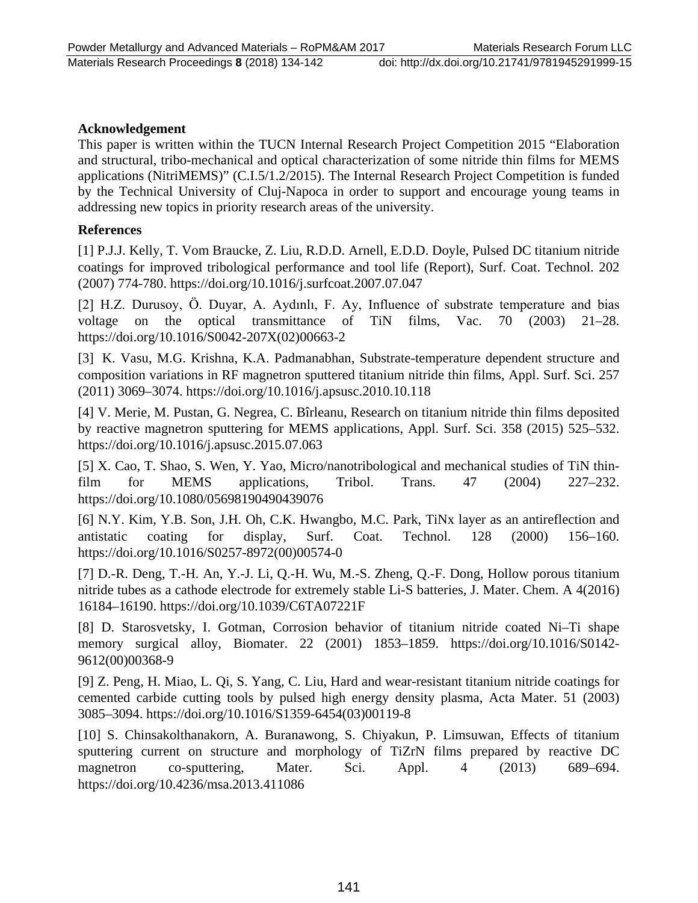# **Acknowledgement**

This paper is written within the TUCN Internal Research Project Competition 2015 "Elaboration and structural, tribo-mechanical and optical characterization of some nitride thin films for MEMS applications (NitriMEMS)" (C.I.5/1.2/2015). The Internal Research Project Competition is funded by the Technical University of Cluj-Napoca in order to support and encourage young teams in addressing new topics in priority research areas of the university.

# **References**

[1] P.J.J. Kelly, T. Vom Braucke, Z. Liu, R.D.D. Arnell, E.D.D. Doyle, Pulsed DC titanium nitride coatings for improved tribological performance and tool life (Report), Surf. Coat. Technol. 202 (2007) 774-780. https://doi.org/10.1016/j.surfcoat.2007.07.047

[2] H.Z. Durusoy, Ö. Duyar, A. Aydınlı, F. Ay, Influence of substrate temperature and bias voltage on the optical transmittance of TiN films, Vac. 70 (2003) 21–28. https://doi.org/10.1016/S0042-207X(02)00663-2

[3] K. Vasu, M.G. Krishna, K.A. Padmanabhan, Substrate-temperature dependent structure and composition variations in RF magnetron sputtered titanium nitride thin films, Appl. Surf. Sci. 257 (2011) 3069–3074. https://doi.org/10.1016/j.apsusc.2010.10.118

[4] V. Merie, M. Pustan, G. Negrea, C. Bîrleanu, Research on titanium nitride thin films deposited by reactive magnetron sputtering for MEMS applications, Appl. Surf. Sci. 358 (2015) 525–532. https://doi.org/10.1016/j.apsusc.2015.07.063

[5] X. Cao, T. Shao, S. Wen, Y. Yao, Micro/nanotribological and mechanical studies of TiN thinfilm for MEMS applications, Tribol. Trans. 47 (2004) 227–232. https://doi.org/10.1080/05698190490439076

[6] N.Y. Kim, Y.B. Son, J.H. Oh, C.K. Hwangbo, M.C. Park, TiNx layer as an antireflection and antistatic coating for display, Surf. Coat. Technol. 128 (2000) 156–160. https://doi.org/10.1016/S0257-8972(00)00574-0

[7] D.-R. Deng, T.-H. An, Y.-J. Li, Q.-H. Wu, M.-S. Zheng, Q.-F. Dong, Hollow porous titanium nitride tubes as a cathode electrode for extremely stable Li-S batteries, J. Mater. Chem. A 4(2016) 16184–16190. https://doi.org/10.1039/C6TA07221F

[8] D. Starosvetsky, I. Gotman, Corrosion behavior of titanium nitride coated Ni–Ti shape memory surgical alloy, Biomater. 22 (2001) 1853–1859. https://doi.org/10.1016/S0142- 9612(00)00368-9

[9] Z. Peng, H. Miao, L. Qi, S. Yang, C. Liu, Hard and wear-resistant titanium nitride coatings for cemented carbide cutting tools by pulsed high energy density plasma, Acta Mater. 51 (2003) 3085–3094. https://doi.org/10.1016/S1359-6454(03)00119-8

[10] S. Chinsakolthanakorn, A. Buranawong, S. Chiyakun, P. Limsuwan, Effects of titanium sputtering current on structure and morphology of TiZrN films prepared by reactive DC magnetron co-sputtering, Mater. Sci. Appl. 4 (2013) 689–694. https://doi.org/10.4236/msa.2013.411086